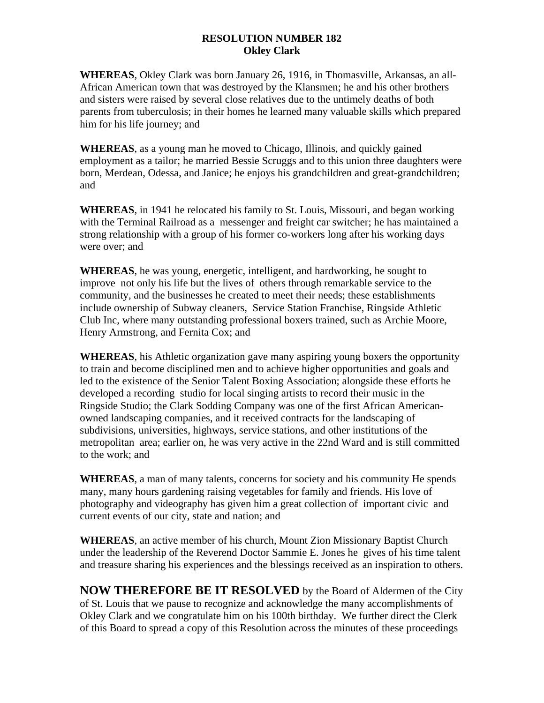## **RESOLUTION NUMBER 182 Okley Clark**

**WHEREAS**, Okley Clark was born January 26, 1916, in Thomasville, Arkansas, an all-African American town that was destroyed by the Klansmen; he and his other brothers and sisters were raised by several close relatives due to the untimely deaths of both parents from tuberculosis; in their homes he learned many valuable skills which prepared him for his life journey; and

**WHEREAS**, as a young man he moved to Chicago, Illinois, and quickly gained employment as a tailor; he married Bessie Scruggs and to this union three daughters were born, Merdean, Odessa, and Janice; he enjoys his grandchildren and great-grandchildren; and

**WHEREAS**, in 1941 he relocated his family to St. Louis, Missouri, and began working with the Terminal Railroad as a messenger and freight car switcher; he has maintained a strong relationship with a group of his former co-workers long after his working days were over; and

**WHEREAS**, he was young, energetic, intelligent, and hardworking, he sought to improve not only his life but the lives of others through remarkable service to the community, and the businesses he created to meet their needs; these establishments include ownership of Subway cleaners, Service Station Franchise, Ringside Athletic Club Inc, where many outstanding professional boxers trained, such as Archie Moore, Henry Armstrong, and Fernita Cox; and

**WHEREAS**, his Athletic organization gave many aspiring young boxers the opportunity to train and become disciplined men and to achieve higher opportunities and goals and led to the existence of the Senior Talent Boxing Association; alongside these efforts he developed a recording studio for local singing artists to record their music in the Ringside Studio; the Clark Sodding Company was one of the first African Americanowned landscaping companies, and it received contracts for the landscaping of subdivisions, universities, highways, service stations, and other institutions of the metropolitan area; earlier on, he was very active in the 22nd Ward and is still committed to the work; and

**WHEREAS**, a man of many talents, concerns for society and his community He spends many, many hours gardening raising vegetables for family and friends. His love of photography and videography has given him a great collection of important civic and current events of our city, state and nation; and

**WHEREAS**, an active member of his church, Mount Zion Missionary Baptist Church under the leadership of the Reverend Doctor Sammie E. Jones he gives of his time talent and treasure sharing his experiences and the blessings received as an inspiration to others.

**NOW THEREFORE BE IT RESOLVED** by the Board of Aldermen of the City of St. Louis that we pause to recognize and acknowledge the many accomplishments of Okley Clark and we congratulate him on his 100th birthday. We further direct the Clerk of this Board to spread a copy of this Resolution across the minutes of these proceedings